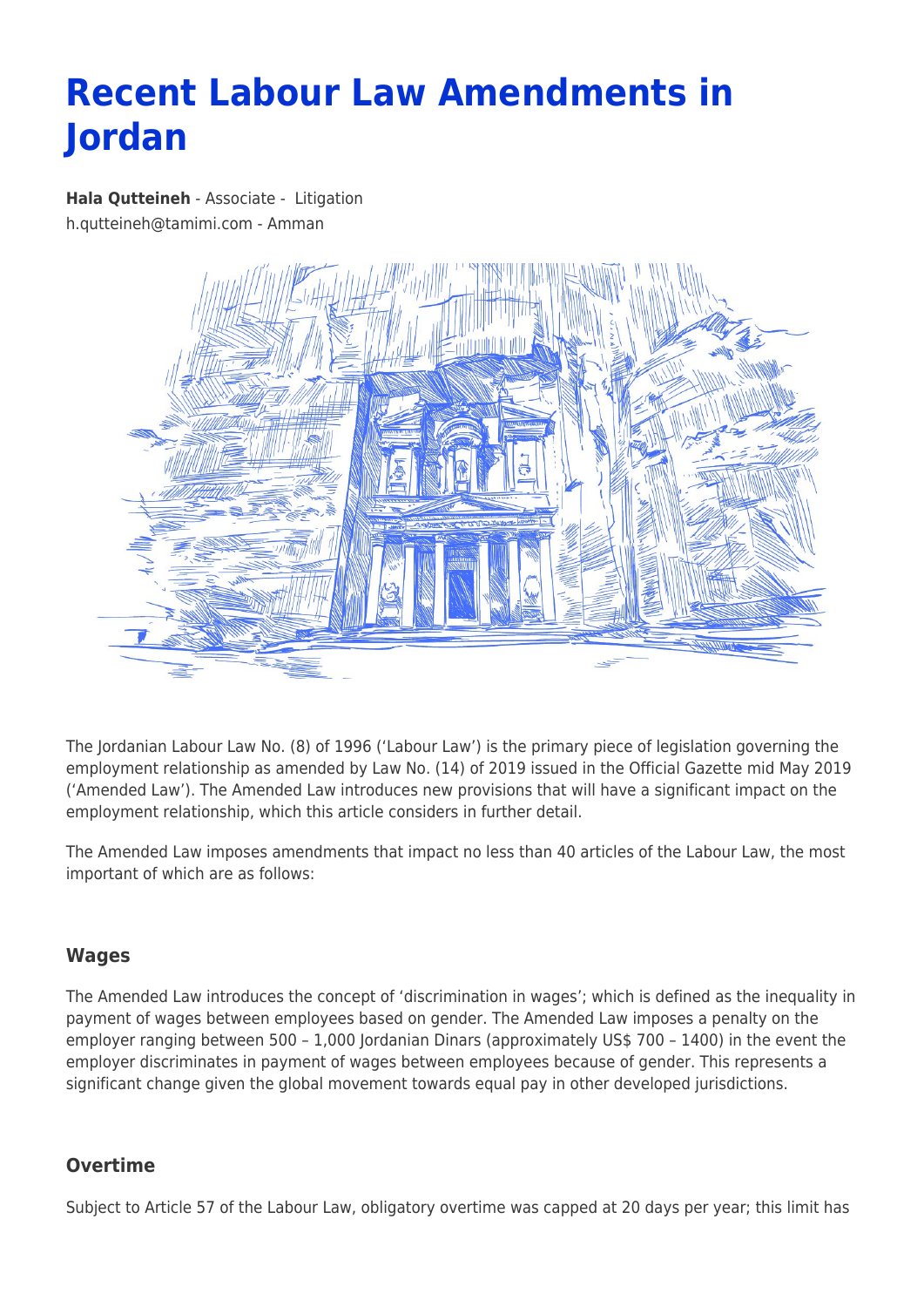# **Recent Labour Law Amendments in Jordan**

**[Hala Qutteineh](https://www.tamimi.com/find-a-lawyer/hala-qutteineh/)** - Associate - [Litigation](https://www.tamimi.com/client-services/practices/litigation/) [h.qutteineh@tamimi.com](mailto:h.qutteineh@tamimi.com) - [Amman](https://www.tamimi.com/locations/jordan/)



The Jordanian Labour Law No. (8) of 1996 ('Labour Law') is the primary piece of legislation governing the employment relationship as amended by Law No. (14) of 2019 issued in the Official Gazette mid May 2019 ('Amended Law'). The Amended Law introduces new provisions that will have a significant impact on the employment relationship, which this article considers in further detail.

The Amended Law imposes amendments that impact no less than 40 articles of the Labour Law, the most important of which are as follows:

# **Wages**

The Amended Law introduces the concept of 'discrimination in wages'; which is defined as the inequality in payment of wages between employees based on gender. The Amended Law imposes a penalty on the employer ranging between 500 – 1,000 Jordanian Dinars (approximately US\$ 700 – 1400) in the event the employer discriminates in payment of wages between employees because of gender. This represents a significant change given the global movement towards equal pay in other developed jurisdictions.

## **Overtime**

Subject to Article 57 of the Labour Law, obligatory overtime was capped at 20 days per year; this limit has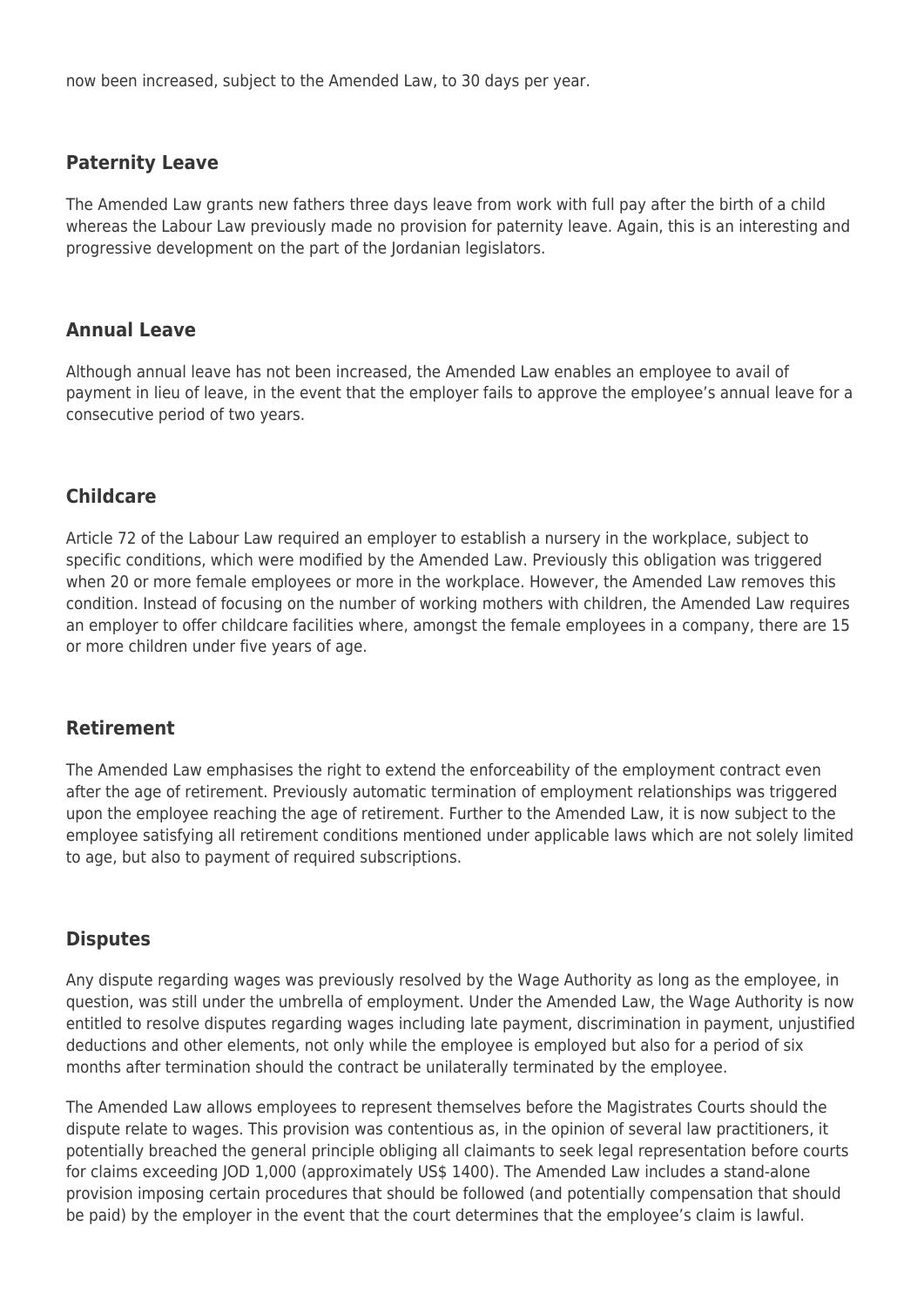now been increased, subject to the Amended Law, to 30 days per year.

### **Paternity Leave**

The Amended Law grants new fathers three days leave from work with full pay after the birth of a child whereas the Labour Law previously made no provision for paternity leave. Again, this is an interesting and progressive development on the part of the Jordanian legislators.

### **Annual Leave**

Although annual leave has not been increased, the Amended Law enables an employee to avail of payment in lieu of leave, in the event that the employer fails to approve the employee's annual leave for a consecutive period of two years.

#### **Childcare**

Article 72 of the Labour Law required an employer to establish a nursery in the workplace, subject to specific conditions, which were modified by the Amended Law. Previously this obligation was triggered when 20 or more female employees or more in the workplace. However, the Amended Law removes this condition. Instead of focusing on the number of working mothers with children, the Amended Law requires an employer to offer childcare facilities where, amongst the female employees in a company, there are 15 or more children under five years of age.

#### **Retirement**

The Amended Law emphasises the right to extend the enforceability of the employment contract even after the age of retirement. Previously automatic termination of employment relationships was triggered upon the employee reaching the age of retirement. Further to the Amended Law, it is now subject to the employee satisfying all retirement conditions mentioned under applicable laws which are not solely limited to age, but also to payment of required subscriptions.

#### **Disputes**

Any dispute regarding wages was previously resolved by the Wage Authority as long as the employee, in question, was still under the umbrella of employment. Under the Amended Law, the Wage Authority is now entitled to resolve disputes regarding wages including late payment, discrimination in payment, unjustified deductions and other elements, not only while the employee is employed but also for a period of six months after termination should the contract be unilaterally terminated by the employee.

The Amended Law allows employees to represent themselves before the Magistrates Courts should the dispute relate to wages. This provision was contentious as, in the opinion of several law practitioners, it potentially breached the general principle obliging all claimants to seek legal representation before courts for claims exceeding JOD 1,000 (approximately US\$ 1400). The Amended Law includes a stand-alone provision imposing certain procedures that should be followed (and potentially compensation that should be paid) by the employer in the event that the court determines that the employee's claim is lawful.